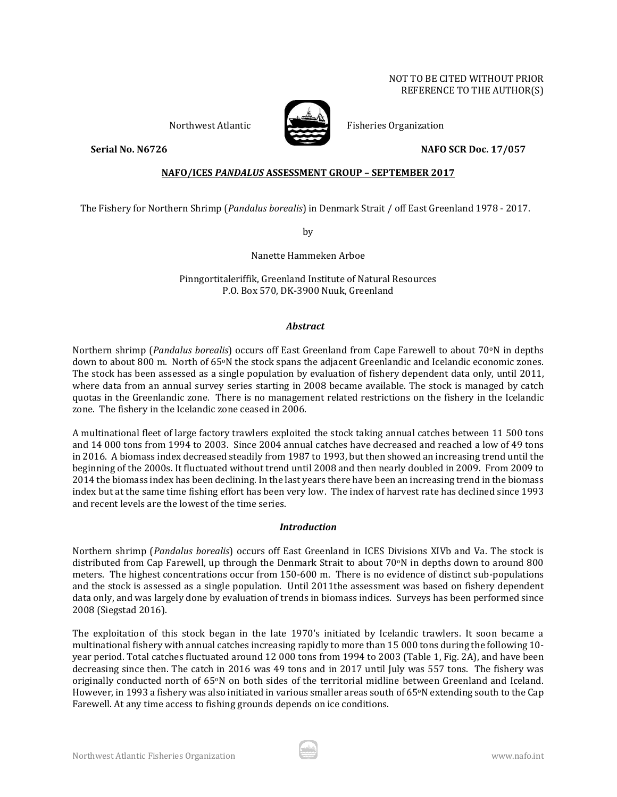

Northwest Atlantic **Atlantic** Fisheries Organization

# **Serial No. N6726 NAFO SCR Doc. 17/057**

## **NAFO/ICES** *PANDALUS* **ASSESSMENT GROUP – SEPTEMBER 2017**

The Fishery for Northern Shrimp (*Pandalus borealis*) in Denmark Strait / off East Greenland 1978 - 2017.

by

Nanette Hammeken Arboe

Pinngortitaleriffik, Greenland Institute of Natural Resources P.O. Box 570, DK-3900 Nuuk, Greenland

# *Abstract*

Northern shrimp (*Pandalus borealis*) occurs off East Greenland from Cape Farewell to about 70°N in depths down to about 800 m. North of 65oN the stock spans the adjacent Greenlandic and Icelandic economic zones. The stock has been assessed as a single population by evaluation of fishery dependent data only, until 2011, where data from an annual survey series starting in 2008 became available. The stock is managed by catch quotas in the Greenlandic zone. There is no management related restrictions on the fishery in the Icelandic zone. The fishery in the Icelandic zone ceased in 2006.

A multinational fleet of large factory trawlers exploited the stock taking annual catches between 11 500 tons and 14 000 tons from 1994 to 2003. Since 2004 annual catches have decreased and reached a low of 49 tons in 2016. A biomass index decreased steadily from 1987 to 1993, but then showed an increasing trend until the beginning of the 2000s. It fluctuated without trend until 2008 and then nearly doubled in 2009. From 2009 to 2014 the biomass index has been declining. In the last years there have been an increasing trend in the biomass index but at the same time fishing effort has been very low. The index of harvest rate has declined since 1993 and recent levels are the lowest of the time series.

## *Introduction*

Northern shrimp (*Pandalus borealis*) occurs off East Greenland in ICES Divisions XIVb and Va. The stock is distributed from Cap Farewell, up through the Denmark Strait to about 70<sup>o</sup>N in depths down to around 800 meters. The highest concentrations occur from 150-600 m. There is no evidence of distinct sub-populations and the stock is assessed as a single population. Until 2011the assessment was based on fishery dependent data only, and was largely done by evaluation of trends in biomass indices. Surveys has been performed since 2008 (Siegstad 2016).

The exploitation of this stock began in the late 1970's initiated by Icelandic trawlers. It soon became a multinational fishery with annual catches increasing rapidly to more than 15 000 tons during the following 10 year period. Total catches fluctuated around 12 000 tons from 1994 to 2003 (Table 1, Fig. 2A), and have been decreasing since then. The catch in 2016 was 49 tons and in 2017 until July was 557 tons. The fishery was originally conducted north of 65°N on both sides of the territorial midline between Greenland and Iceland. However, in 1993 a fishery was also initiated in various smaller areas south of 65°N extending south to the Cap Farewell. At any time access to fishing grounds depends on ice conditions.

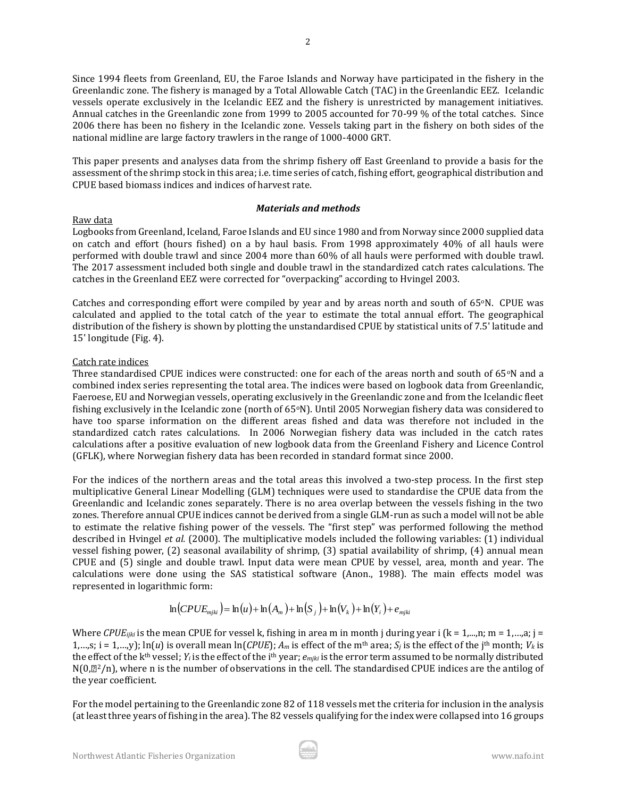Since 1994 fleets from Greenland, EU, the Faroe Islands and Norway have participated in the fishery in the Greenlandic zone. The fishery is managed by a Total Allowable Catch (TAC) in the Greenlandic EEZ. Icelandic vessels operate exclusively in the Icelandic EEZ and the fishery is unrestricted by management initiatives. Annual catches in the Greenlandic zone from 1999 to 2005 accounted for 70-99 % of the total catches. Since 2006 there has been no fishery in the Icelandic zone. Vessels taking part in the fishery on both sides of the national midline are large factory trawlers in the range of 1000-4000 GRT.

This paper presents and analyses data from the shrimp fishery off East Greenland to provide a basis for the assessment of the shrimp stock in this area; i.e. time series of catch, fishing effort, geographical distribution and CPUE based biomass indices and indices of harvest rate.

## *Materials and methods*

## Raw data

Logbooks from Greenland, Iceland, Faroe Islands and EU since 1980 and from Norway since 2000 supplied data on catch and effort (hours fished) on a by haul basis. From 1998 approximately 40% of all hauls were performed with double trawl and since 2004 more than 60% of all hauls were performed with double trawl. The 2017 assessment included both single and double trawl in the standardized catch rates calculations. The catches in the Greenland EEZ were corrected for "overpacking" according to Hvingel 2003.

Catches and corresponding effort were compiled by year and by areas north and south of 65 $\degree$ N. CPUE was calculated and applied to the total catch of the year to estimate the total annual effort. The geographical distribution of the fishery is shown by plotting the unstandardised CPUE by statistical units of 7.5' latitude and 15' longitude (Fig. 4).

# Catch rate indices

Three standardised CPUE indices were constructed: one for each of the areas north and south of 65°N and a combined index series representing the total area. The indices were based on logbook data from Greenlandic, Faeroese, EU and Norwegian vessels, operating exclusively in the Greenlandic zone and from the Icelandic fleet fishing exclusively in the Icelandic zone (north of 65°N). Until 2005 Norwegian fishery data was considered to have too sparse information on the different areas fished and data was therefore not included in the standardized catch rates calculations. In 2006 Norwegian fishery data was included in the catch rates calculations after a positive evaluation of new logbook data from the Greenland Fishery and Licence Control (GFLK), where Norwegian fishery data has been recorded in standard format since 2000.

For the indices of the northern areas and the total areas this involved a two-step process. In the first step multiplicative General Linear Modelling (GLM) techniques were used to standardise the CPUE data from the Greenlandic and Icelandic zones separately. There is no area overlap between the vessels fishing in the two zones. Therefore annual CPUE indices cannot be derived from a single GLM-run as such a model will not be able to estimate the relative fishing power of the vessels. The "first step" was performed following the method described in Hvingel *et al.* (2000). The multiplicative models included the following variables: (1) individual vessel fishing power, (2) seasonal availability of shrimp, (3) spatial availability of shrimp, (4) annual mean CPUE and (5) single and double trawl. Input data were mean CPUE by vessel, area, month and year. The calculations were done using the SAS statistical software (Anon., 1988). The main effects model was represented in logarithmic form:

$$
\ln(CPUE_{mjki}) = \ln(u) + \ln(A_m) + \ln(S_j) + \ln(V_k) + \ln(Y_i) + e_{mjki}
$$

Where *CPUE<sub>ijki</sub>* is the mean CPUE for vessel k, fishing in area m in month j during year i ( $k = 1,...,n$ ; m = 1,…,a; j = 1,…,s; i = 1,…,y);  $\ln(u)$  is overall mean  $\ln(CPUE)$ ;  $A_m$  is effect of the m<sup>th</sup> area;  $S_i$  is the effect of the j<sup>th</sup> month;  $V_k$  is the effect of the kth vessel; *Y<sup>i</sup>* is the effect of the ith year; *emjki* is the error term assumed to be normally distributed  $N(0,\mathbb{Z}^2/n)$ , where n is the number of observations in the cell. The standardised CPUE indices are the antilog of the year coefficient.  $\ln(CPUE_{mjk}) = \ln(u) + \ln(A_m) + \ln(S_j) + \ln(V_k) + \ln(Y_i) + e_{mjki}$ <br>Where *CPUE<sub>ijki</sub>* is the mean CPUE for vessel k, fishing in area m in month j during year i (k = 1,...,n; m = 1,...,a; j = 1,...,x; i = 1,...,y); ln(*u*) is overall mean  $\$ 

For the model pertaining to the Greenlandic zone 82 of 118 vessels met the criteria for inclusion in the analysis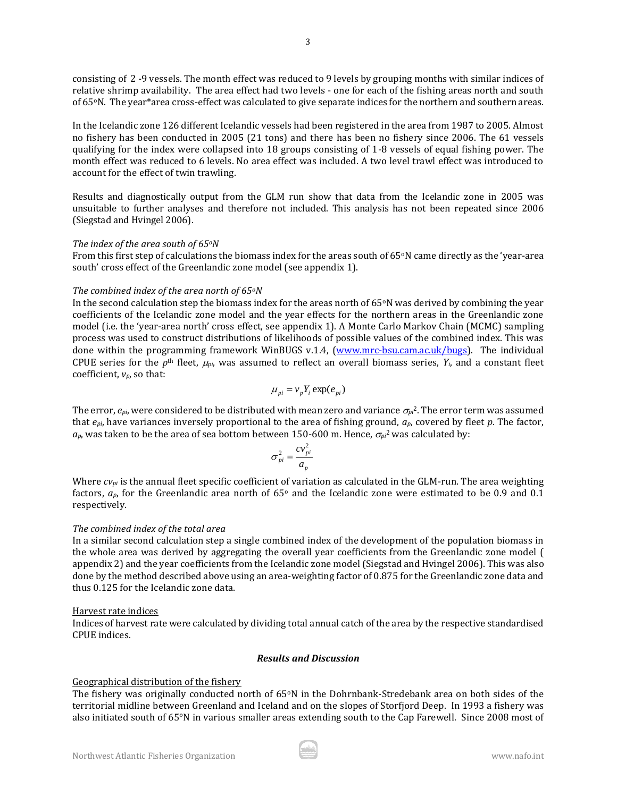consisting of 2 -9 vessels. The month effect was reduced to 9 levels by grouping months with similar indices of relative shrimp availability. The area effect had two levels - one for each of the fishing areas north and south of 65oN. The year\*area cross-effect was calculated to give separate indices for the northern and southern areas.

In the Icelandic zone 126 different Icelandic vessels had been registered in the area from 1987 to 2005. Almost no fishery has been conducted in 2005 (21 tons) and there has been no fishery since 2006. The 61 vessels qualifying for the index were collapsed into 18 groups consisting of 1-8 vessels of equal fishing power. The month effect was reduced to 6 levels. No area effect was included. A two level trawl effect was introduced to account for the effect of twin trawling.

Results and diagnostically output from the GLM run show that data from the Icelandic zone in 2005 was unsuitable to further analyses and therefore not included. This analysis has not been repeated since 2006 (Siegstad and Hvingel 2006).

### *The index of the area south of 65oN*

From this first step of calculations the biomass index for the areas south of  $65\textdegree N$  came directly as the 'year-area south' cross effect of the Greenlandic zone model (see appendix 1).

### *The combined index of the area north of 65oN*

In the second calculation step the biomass index for the areas north of  $65\degree N$  was derived by combining the year coefficients of the Icelandic zone model and the year effects for the northern areas in the Greenlandic zone model (i.e. the 'year-area north' cross effect, see appendix 1). A Monte Carlo Markov Chain (MCMC) sampling process was used to construct distributions of likelihoods of possible values of the combined index. This was done within the programming framework WinBUGS v.1.4, [\(www.mrc-bsu.cam.ac.uk/bugs\)](http://www.mrc-bsu.cam.ac.uk/bugs). The individual CPUE series for the  $p<sup>th</sup>$  fleet,  $\mu_{pi}$ , was assumed to reflect an overall biomass series,  $Y_i$ , and a constant fleet coefficient, *vp*, so that:

$$
\mu_{pi} = v_p Y_i \exp(e_{pi})
$$

The error,  $e_{pi}$ , were considered to be distributed with mean zero and variance  $\sigma_{pi}^2$ . The error term was assumed that *epi*, have variances inversely proportional to the area of fishing ground, *ap*, covered by fleet *p*. The factor,  $a_p$ , was taken to be the area of sea bottom between 150-600 m. Hence,  $\sigma_{pi}^2$  was calculated by:

$$
\sigma_{pi}^2 = \frac{cv_{pi}^2}{a_p}
$$

Where  $c_{Vpi}$  is the annual fleet specific coefficient of variation as calculated in the GLM-run. The area weighting factors,  $a_p$ , for the Greenlandic area north of 65 $\degree$  and the Icelandic zone were estimated to be 0.9 and 0.1 respectively.

## *The combined index of the total area*

In a similar second calculation step a single combined index of the development of the population biomass in the whole area was derived by aggregating the overall year coefficients from the Greenlandic zone model ( appendix 2) and the year coefficients from the Icelandic zone model (Siegstad and Hvingel 2006). This was also done by the method described above using an area-weighting factor of 0.875 for the Greenlandic zone data and thus 0.125 for the Icelandic zone data.

## Harvest rate indices

Indices of harvest rate were calculated by dividing total annual catch of the area by the respective standardised CPUE indices.

#### *Results and Discussion*

## Geographical distribution of the fishery

The fishery was originally conducted north of  $65\degree N$  in the Dohrnbank-Stredebank area on both sides of the territorial midline between Greenland and Iceland and on the slopes of Storfjord Deep. In 1993 a fishery was also initiated south of 65°N in various smaller areas extending south to the Cap Farewell. Since 2008 most of

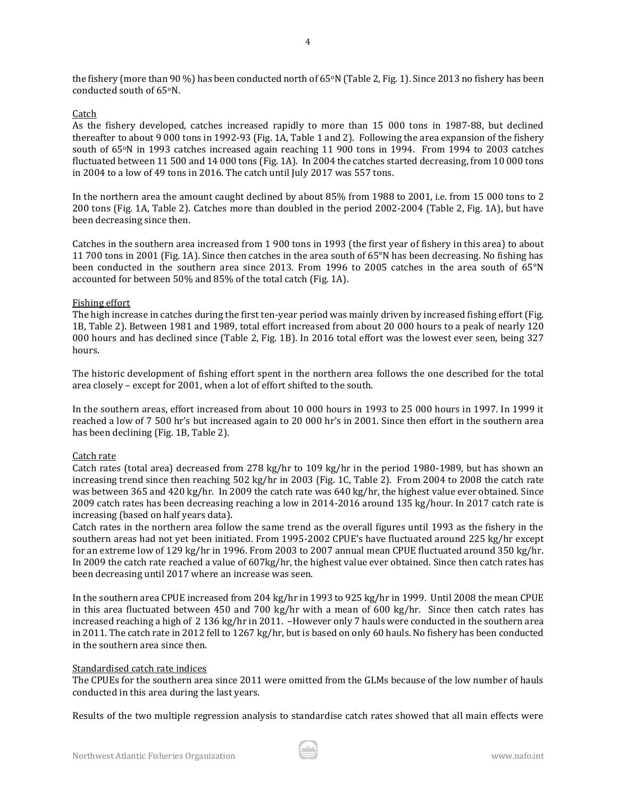the fishery (more than 90 %) has been conducted north of  $65\degree N$  (Table 2, Fig. 1). Since 2013 no fishery has been conducted south of 65oN.

### Catch

As the fishery developed, catches increased rapidly to more than 15 000 tons in 1987-88, but declined thereafter to about 9 000 tons in 1992-93 (Fig. 1A, Table 1 and 2). Following the area expansion of the fishery south of 65°N in 1993 catches increased again reaching 11 900 tons in 1994. From 1994 to 2003 catches fluctuated between 11 500 and 14 000 tons (Fig. 1A). In 2004 the catches started decreasing, from 10 000 tons in 2004 to a low of 49 tons in 2016. The catch until July 2017 was 557 tons.

In the northern area the amount caught declined by about 85% from 1988 to 2001, i.e. from 15 000 tons to 2 200 tons (Fig. 1A, Table 2). Catches more than doubled in the period 2002-2004 (Table 2, Fig. 1A), but have been decreasing since then.

Catches in the southern area increased from 1 900 tons in 1993 (the first year of fishery in this area) to about 11 700 tons in 2001 (Fig. 1A). Since then catches in the area south of 65°N has been decreasing. No fishing has been conducted in the southern area since 2013. From 1996 to 2005 catches in the area south of 65°N accounted for between 50% and 85% of the total catch (Fig. 1A).

#### Fishing effort

The high increase in catches during the first ten-year period was mainly driven by increased fishing effort (Fig. 1B, Table 2). Between 1981 and 1989, total effort increased from about 20 000 hours to a peak of nearly 120 000 hours and has declined since (Table 2, Fig. 1B). In 2016 total effort was the lowest ever seen, being 327 hours.

The historic development of fishing effort spent in the northern area follows the one described for the total area closely – except for 2001, when a lot of effort shifted to the south.

In the southern areas, effort increased from about 10 000 hours in 1993 to 25 000 hours in 1997. In 1999 it reached a low of 7 500 hr's but increased again to 20 000 hr's in 2001. Since then effort in the southern area has been declining (Fig. 1B, Table 2).

#### Catch rate

Catch rates (total area) decreased from 278 kg/hr to 109 kg/hr in the period 1980-1989, but has shown an increasing trend since then reaching 502 kg/hr in 2003 (Fig. 1C, Table 2). From 2004 to 2008 the catch rate was between 365 and 420 kg/hr. In 2009 the catch rate was 640 kg/hr, the highest value ever obtained. Since 2009 catch rates has been decreasing reaching a low in 2014-2016 around 135 kg/hour. In 2017 catch rate is increasing (based on half years data).

Catch rates in the northern area follow the same trend as the overall figures until 1993 as the fishery in the southern areas had not yet been initiated. From 1995-2002 CPUE's have fluctuated around 225 kg/hr except for an extreme low of 129 kg/hr in 1996. From 2003 to 2007 annual mean CPUE fluctuated around 350 kg/hr. In 2009 the catch rate reached a value of 607kg/hr, the highest value ever obtained. Since then catch rates has been decreasing until 2017 where an increase was seen.

In the southern area CPUE increased from 204 kg/hr in 1993 to 925 kg/hr in 1999. Until 2008 the mean CPUE in this area fluctuated between 450 and 700 kg/hr with a mean of 600 kg/hr. Since then catch rates has increased reaching a high of 2 136 kg/hr in 2011. –However only 7 hauls were conducted in the southern area in 2011. The catch rate in 2012 fell to 1267 kg/hr, but is based on only 60 hauls. No fishery has been conducted in the southern area since then.

#### Standardised catch rate indices

The CPUEs for the southern area since 2011 were omitted from the GLMs because of the low number of hauls conducted in this area during the last years.

Results of the two multiple regression analysis to standardise catch rates showed that all main effects were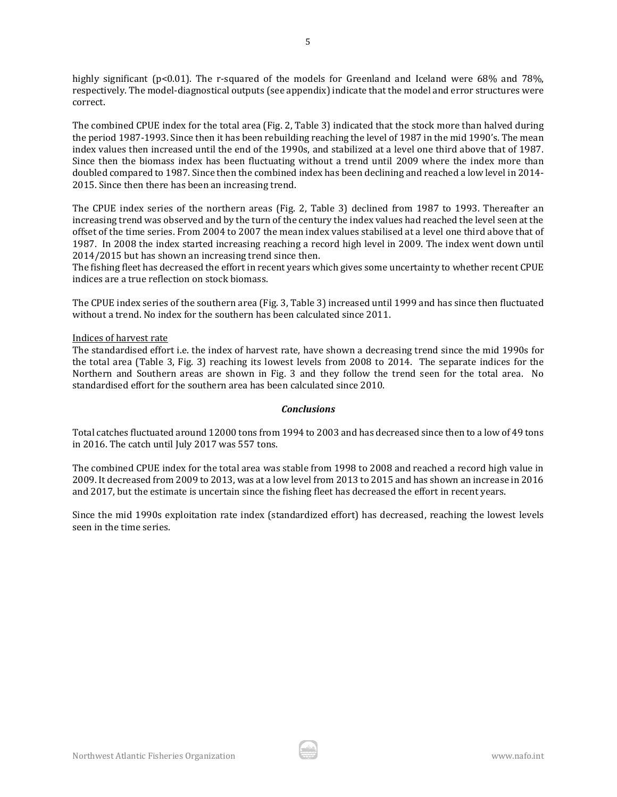highly significant (p<0.01). The r-squared of the models for Greenland and Iceland were 68% and 78%, respectively. The model-diagnostical outputs (see appendix) indicate that the model and error structures were correct.

The combined CPUE index for the total area (Fig. 2, Table 3) indicated that the stock more than halved during the period 1987-1993. Since then it has been rebuilding reaching the level of 1987 in the mid 1990's. The mean index values then increased until the end of the 1990s, and stabilized at a level one third above that of 1987. Since then the biomass index has been fluctuating without a trend until 2009 where the index more than doubled compared to 1987. Since then the combined index has been declining and reached a low level in 2014- 2015. Since then there has been an increasing trend.

The CPUE index series of the northern areas (Fig. 2, Table 3) declined from 1987 to 1993. Thereafter an increasing trend was observed and by the turn of the century the index values had reached the level seen at the offset of the time series. From 2004 to 2007 the mean index values stabilised at a level one third above that of 1987. In 2008 the index started increasing reaching a record high level in 2009. The index went down until 2014/2015 but has shown an increasing trend since then.

The fishing fleet has decreased the effort in recent years which gives some uncertainty to whether recent CPUE indices are a true reflection on stock biomass.

The CPUE index series of the southern area (Fig. 3, Table 3) increased until 1999 and has since then fluctuated without a trend. No index for the southern has been calculated since 2011.

### Indices of harvest rate

The standardised effort i.e. the index of harvest rate, have shown a decreasing trend since the mid 1990s for the total area (Table 3, Fig. 3) reaching its lowest levels from 2008 to 2014. The separate indices for the Northern and Southern areas are shown in Fig. 3 and they follow the trend seen for the total area. No standardised effort for the southern area has been calculated since 2010.

#### *Conclusions*

Total catches fluctuated around 12000 tons from 1994 to 2003 and has decreased since then to a low of 49 tons in 2016. The catch until July 2017 was 557 tons.

The combined CPUE index for the total area was stable from 1998 to 2008 and reached a record high value in 2009. It decreased from 2009 to 2013, was at a low level from 2013 to 2015 and has shown an increase in 2016 and 2017, but the estimate is uncertain since the fishing fleet has decreased the effort in recent years.

Since the mid 1990s exploitation rate index (standardized effort) has decreased, reaching the lowest levels seen in the time series.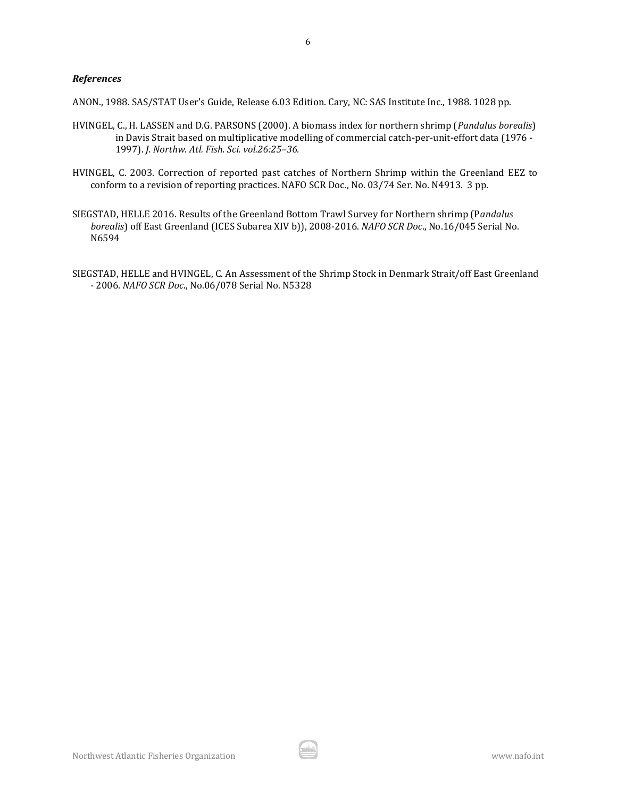#### *References*

ANON., 1988. SAS/STAT User's Guide, Release 6.03 Edition. Cary, NC: SAS Institute Inc., 1988. 1028 pp.

- HVINGEL, C., H. LASSEN and D.G. PARSONS (2000). A biomass index for northern shrimp (*Pandalus borealis*) in Davis Strait based on multiplicative modelling of commercial catch-per-unit-effort data (1976 - 1997). *J. Northw. Atl. Fish. Sci. vol.26:25–36.*
- HVINGEL, C. 2003. Correction of reported past catches of Northern Shrimp within the Greenland EEZ to conform to a revision of reporting practices. NAFO SCR Doc., No. 03/74 Ser. No. N4913. 3 pp.
- SIEGSTAD, HELLE 2016. Results of the Greenland Bottom Trawl Survey for Northern shrimp (P*andalus borealis*) off East Greenland (ICES Subarea XIV b)), 2008-2016. *NAFO SCR Doc*., No.16/045 Serial No. N6594
- SIEGSTAD, HELLE and HVINGEL, C. An Assessment of the Shrimp Stock in Denmark Strait/off East Greenland - 2006. *NAFO SCR Doc*., No.06/078 Serial No. N5328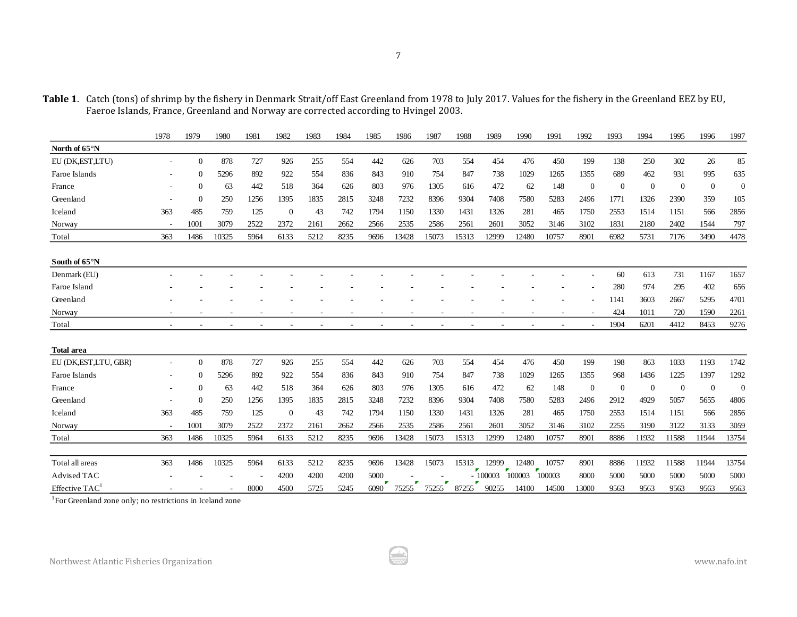**Table 1**. Catch (tons) of shrimp by the fishery in Denmark Strait/off East Greenland from 1978 to July 2017. Values for the fishery in the Greenland EEZ by EU, Faeroe Islands, France, Greenland and Norway are corrected according to Hvingel 2003.

|                            | 1978 | 1979           | 1980  | 1981 | 1982           | 1983 | 1984 | 1985 | 1986  | 1987  | 1988  | 1989      | 1990        | 1991   | 1992           | 1993           | 1994           | 1995           | 1996           | 1997           |
|----------------------------|------|----------------|-------|------|----------------|------|------|------|-------|-------|-------|-----------|-------------|--------|----------------|----------------|----------------|----------------|----------------|----------------|
| North of 65°N              |      |                |       |      |                |      |      |      |       |       |       |           |             |        |                |                |                |                |                |                |
| EU (DK, EST, LTU)          |      | $\mathbf{0}$   | 878   | 727  | 926            | 255  | 554  | 442  | 626   | 703   | 554   | 454       | 476         | 450    | 199            | 138            | 250            | 302            | 26             | 85             |
| Faroe Islands              |      | $\theta$       | 5296  | 892  | 922            | 554  | 836  | 843  | 910   | 754   | 847   | 738       | 1029        | 1265   | 1355           | 689            | 462            | 931            | 995            | 635            |
| France                     |      | $\theta$       | 63    | 442  | 518            | 364  | 626  | 803  | 976   | 1305  | 616   | 472       | 62          | 148    | $\overline{0}$ | $\overline{0}$ | $\overline{0}$ | $\overline{0}$ | $\overline{0}$ | $\overline{0}$ |
| Greenland                  |      | $\overline{0}$ | 250   | 1256 | 1395           | 1835 | 2815 | 3248 | 7232  | 8396  | 9304  | 7408      | 7580        | 5283   | 2496           | 1771           | 1326           | 2390           | 359            | 105            |
| Iceland                    | 363  | 485            | 759   | 125  | $\overline{0}$ | 43   | 742  | 1794 | 1150  | 1330  | 1431  | 1326      | 281         | 465    | 1750           | 2553           | 1514           | 1151           | 566            | 2856           |
| Norway                     |      | 1001           | 3079  | 2522 | 2372           | 2161 | 2662 | 2566 | 2535  | 2586  | 2561  | 2601      | 3052        | 3146   | 3102           | 1831           | 2180           | 2402           | 1544           | 797            |
| Total                      | 363  | 1486           | 10325 | 5964 | 6133           | 5212 | 8235 | 9696 | 13428 | 15073 | 15313 | 12999     | 12480       | 10757  | 8901           | 6982           | 5731           | 7176           | 3490           | 4478           |
| South of 65°N              |      |                |       |      |                |      |      |      |       |       |       |           |             |        |                |                |                |                |                |                |
| Denmark (EU)               |      |                |       |      |                |      |      |      |       |       |       |           |             |        |                | 60             | 613            | 731            | 1167           | 1657           |
| Faroe Island               |      |                |       |      |                |      |      |      |       |       |       |           |             |        |                | 280            | 974            | 295            | 402            | 656            |
| Greenland                  |      |                |       |      |                |      |      |      |       |       |       |           |             |        |                | 1141           | 3603           | 2667           | 5295           | 4701           |
| Norway                     |      |                |       |      |                |      |      |      |       |       |       |           |             |        |                | 424            | 1011           | 720            | 1590           | 2261           |
| Total                      |      |                |       |      |                |      |      |      |       |       |       |           |             |        |                | 1904           | 6201           | 4412           | 8453           | 9276           |
| <b>Total area</b>          |      |                |       |      |                |      |      |      |       |       |       |           |             |        |                |                |                |                |                |                |
| EU (DK, EST, LTU, GBR)     |      | $\overline{0}$ | 878   | 727  | 926            | 255  | 554  | 442  | 626   | 703   | 554   | 454       | 476         | 450    | 199            | 198            | 863            | 1033           | 1193           | 1742           |
| Faroe Islands              |      | $\theta$       | 5296  | 892  | 922            | 554  | 836  | 843  | 910   | 754   | 847   | 738       | 1029        | 1265   | 1355           | 968            | 1436           | 1225           | 1397           | 1292           |
| France                     |      | $\theta$       | 63    | 442  | 518            | 364  | 626  | 803  | 976   | 1305  | 616   | 472       | 62          | 148    | $\overline{0}$ | $\theta$       | $\overline{0}$ | $\overline{0}$ | $\overline{0}$ | $\overline{0}$ |
| Greenland                  |      | $\theta$       | 250   | 1256 | 1395           | 1835 | 2815 | 3248 | 7232  | 8396  | 9304  | 7408      | 7580        | 5283   | 2496           | 2912           | 4929           | 5057           | 5655           | 4806           |
| Iceland                    | 363  | 485            | 759   | 125  | $\overline{0}$ | 43   | 742  | 1794 | 1150  | 1330  | 1431  | 1326      | 281         | 465    | 1750           | 2553           | 1514           | 1151           | 566            | 2856           |
| Norway                     |      | 1001           | 3079  | 2522 | 2372           | 2161 | 2662 | 2566 | 2535  | 2586  | 2561  | 2601      | 3052        | 3146   | 3102           | 2255           | 3190           | 3122           | 3133           | 3059           |
| Total                      | 363  | 1486           | 10325 | 5964 | 6133           | 5212 | 8235 | 9696 | 13428 | 15073 | 15313 | 12999     | 12480       | 10757  | 8901           | 8886           | 11932          | 11588          | 11944          | 13754          |
| Total all areas            | 363  | 1486           | 10325 | 5964 | 6133           | 5212 | 8235 | 9696 | 13428 | 15073 | 15313 | 12999     | 12480       | 10757  | 8901           | 8886           | 11932          | 11588          | 11944          | 13754          |
| Advised TAC                |      |                |       |      | 4200           | 4200 | 4200 | 5000 |       |       |       | $-100003$ | v<br>100003 | 100003 | 8000           | 5000           | 5000           | 5000           | 5000           | 5000           |
| Effective TAC <sup>1</sup> |      |                |       | 8000 | 4500           | 5725 | 5245 | 6090 | 75255 | 75255 | 87255 | 90255     | 14100       | 14500  | 13000          | 9563           | 9563           | 9563           | 9563           | 9563           |

<sup>1</sup>For Greenland zone only; no restrictions in Iceland zone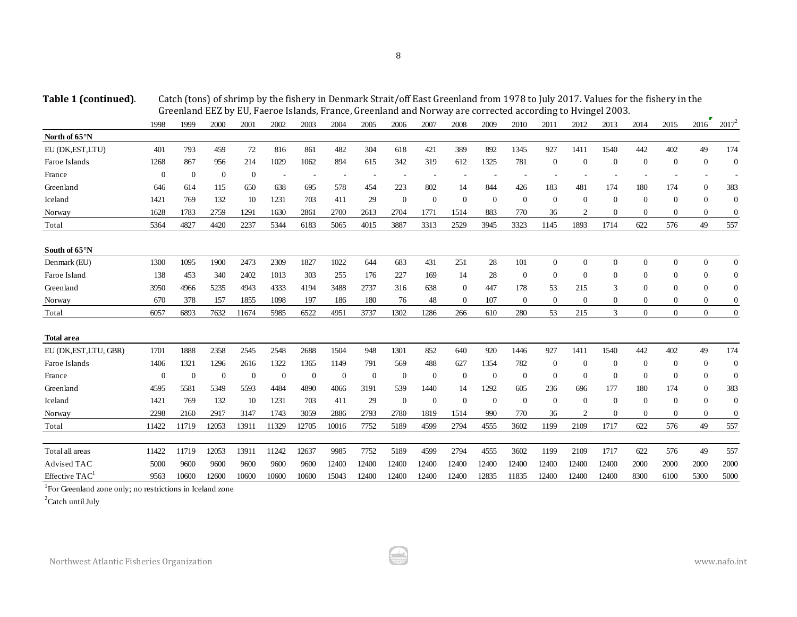**Table 1 (continued)**. Catch (tons) of shrimp by the fishery in Denmark Strait/off East Greenland from 1978 to July 2017. Values for the fishery in the Greenland EEZ by EU, Faeroe Islands, France, Greenland and Norway are corrected according to Hvingel 2003.

|                            | 1998         | 1999           | 2000           | 2001           | 2002           | 2003     | 2004                     | 2005                     | 2006           | 2007             | 2008             | 2009             | 2010           | 2011             | 2012             | 2013           | 2014             | 2015             | 2016           | $2017^2$         |
|----------------------------|--------------|----------------|----------------|----------------|----------------|----------|--------------------------|--------------------------|----------------|------------------|------------------|------------------|----------------|------------------|------------------|----------------|------------------|------------------|----------------|------------------|
| North of 65°N              |              |                |                |                |                |          |                          |                          |                |                  |                  |                  |                |                  |                  |                |                  |                  |                |                  |
| EU (DK,EST,LTU)            | 401          | 793            | 459            | $72\,$         | 816            | 861      | 482                      | 304                      | 618            | 421              | 389              | 892              | 1345           | 927              | 1411             | 1540           | 442              | 402              | 49             | 174              |
| Faroe Islands              | 1268         | 867            | 956            | 214            | 1029           | 1062     | 894                      | 615                      | 342            | 319              | 612              | 1325             | 781            | $\overline{0}$   | $\overline{0}$   | $\Omega$       | $\boldsymbol{0}$ | $\Omega$         | $\Omega$       | $\mathbf{0}$     |
| France                     | $\mathbf{0}$ | $\overline{0}$ | $\overline{0}$ | $\mathbf{0}$   | ÷,             | ٠        | $\overline{\phantom{a}}$ | $\overline{\phantom{a}}$ |                |                  |                  |                  |                |                  |                  |                |                  |                  |                |                  |
| Greenland                  | 646          | 614            | 115            | 650            | 638            | 695      | 578                      | 454                      | 223            | 802              | 14               | 844              | 426            | 183              | 481              | 174            | 180              | 174              | $\overline{0}$ | 383              |
| Iceland                    | 1421         | 769            | 132            | 10             | 1231           | 703      | 411                      | 29                       | $\overline{0}$ | $\overline{0}$   | $\mathbf{0}$     | $\overline{0}$   | $\overline{0}$ | $\overline{0}$   | $\overline{0}$   | $\overline{0}$ | $\overline{0}$   | $\theta$         | $\mathbf{0}$   | $\mathbf{0}$     |
| Norway                     | 1628         | 1783           | 2759           | 1291           | 1630           | 2861     | 2700                     | 2613                     | 2704           | 1771             | 1514             | 883              | 770            | 36               | $\overline{2}$   | $\Omega$       | $\theta$         | $\theta$         | $\theta$       | $\overline{0}$   |
| Total                      | 5364         | 4827           | 4420           | 2237           | 5344           | 6183     | 5065                     | 4015                     | 3887           | 3313             | 2529             | 3945             | 3323           | 1145             | 1893             | 1714           | 622              | 576              | 49             | 557              |
| South of 65°N              |              |                |                |                |                |          |                          |                          |                |                  |                  |                  |                |                  |                  |                |                  |                  |                |                  |
| Denmark (EU)               | 1300         | 1095           | 1900           | 2473           | 2309           | 1827     | 1022                     | 644                      | 683            | 431              | 251              | 28               | 101            | $\mathbf{0}$     | $\overline{0}$   | $\overline{0}$ | $\overline{0}$   | $\Omega$         | $\Omega$       | $\overline{0}$   |
| Faroe Island               | 138          | 453            | 340            | 2402           | 1013           | 303      | 255                      | 176                      | 227            | 169              | 14               | 28               | $\theta$       | $\boldsymbol{0}$ | $\boldsymbol{0}$ | $\Omega$       | $\theta$         | $\Omega$         | $\Omega$       | $\overline{0}$   |
| Greenland                  | 3950         | 4966           | 5235           | 4943           | 4333           | 4194     | 3488                     | 2737                     | 316            | 638              | $\mathbf{0}$     | 447              | 178            | 53               | 215              | 3              | $\theta$         | $\mathbf{0}$     | $\Omega$       | $\overline{0}$   |
| Norway                     | 670          | 378            | 157            | 1855           | 1098           | 197      | 186                      | 180                      | 76             | 48               | $\Omega$         | 107              | $\overline{0}$ | $\mathbf{0}$     | $\mathbf{0}$     | $\theta$       | $\mathbf{0}$     | $\mathbf{0}$     | $\theta$       | $\overline{0}$   |
| Total                      | 6057         | 6893           | 7632           | 11674          | 5985           | 6522     | 4951                     | 3737                     | 1302           | 1286             | 266              | 610              | 280            | 53               | 215              | 3              | $\overline{0}$   | $\overline{0}$   | $\mathbf{0}$   | $\overline{0}$   |
| <b>Total area</b>          |              |                |                |                |                |          |                          |                          |                |                  |                  |                  |                |                  |                  |                |                  |                  |                |                  |
| EU (DK,EST,LTU, GBR)       | 1701         | 1888           | 2358           | 2545           | 2548           | 2688     | 1504                     | 948                      | 1301           | 852              | 640              | 920              | 1446           | 927              | 1411             | 1540           | 442              | 402              | 49             | 174              |
| Faroe Islands              | 1406         | 1321           | 1296           | 2616           | 1322           | 1365     | 1149                     | 791                      | 569            | 488              | 627              | 1354             | 782            | $\overline{0}$   | $\mathbf{0}$     | $\theta$       | $\overline{0}$   | $\mathbf{0}$     | $\Omega$       | $\mathbf{0}$     |
| France                     | $\mathbf{0}$ | $\overline{0}$ | $\mathbf{0}$   | $\overline{0}$ | $\overline{0}$ | $\theta$ | $\overline{0}$           | $\mathbf{0}$             | $\overline{0}$ | $\mathbf{0}$     | $\Omega$         | $\overline{0}$   | $\theta$       | $\overline{0}$   | $\mathbf{0}$     | $\Omega$       | $\overline{0}$   | $\Omega$         | $\Omega$       | $\mathbf{0}$     |
| Greenland                  | 4595         | 5581           | 5349           | 5593           | 4484           | 4890     | 4066                     | 3191                     | 539            | 1440             | 14               | 1292             | 605            | 236              | 696              | 177            | 180              | 174              | 0              | 383              |
| Iceland                    | 1421         | 769            | 132            | 10             | 1231           | 703      | 411                      | 29                       | $\mathbf{0}$   | $\boldsymbol{0}$ | $\boldsymbol{0}$ | $\boldsymbol{0}$ | $\mathbf{0}$   | $\mathbf{0}$     | $\boldsymbol{0}$ | $\Omega$       | $\boldsymbol{0}$ | $\theta$         | $\Omega$       | $\mathbf{0}$     |
| Norway                     | 2298         | 2160           | 2917           | 3147           | 1743           | 3059     | 2886                     | 2793                     | 2780           | 1819             | 1514             | 990              | 770            | 36               | $\overline{2}$   | $\theta$       | $\boldsymbol{0}$ | $\boldsymbol{0}$ | $\mathbf{0}$   | $\boldsymbol{0}$ |
| Total                      | 11422        | 11719          | 12053          | 13911          | 11329          | 12705    | 10016                    | 7752                     | 5189           | 4599             | 2794             | 4555             | 3602           | 1199             | 2109             | 1717           | 622              | 576              | 49             | 557              |
| Total all areas            | 11422        | 11719          | 12053          | 13911          | 11242          | 12637    | 9985                     | 7752                     | 5189           | 4599             | 2794             | 4555             | 3602           | 1199             | 2109             | 1717           | 622              | 576              | 49             | 557              |
| Advised TAC                | 5000         | 9600           | 9600           | 9600           | 9600           | 9600     | 12400                    | 12400                    | 12400          | 12400            | 12400            | 12400            | 12400          | 12400            | 12400            | 12400          | 2000             | 2000             | 2000           | 2000             |
| Effective TAC <sup>1</sup> | 9563         | 10600          | 12600          | 10600          | 10600          | 10600    | 15043                    | 12400                    | 12400          | 12400            | 12400            | 12835            | 11835          | 12400            | 12400            | 12400          | 8300             | 6100             | 5300           | 5000             |

<sup>1</sup>For Greenland zone only; no restrictions in Iceland zone

<sup>2</sup>Catch until July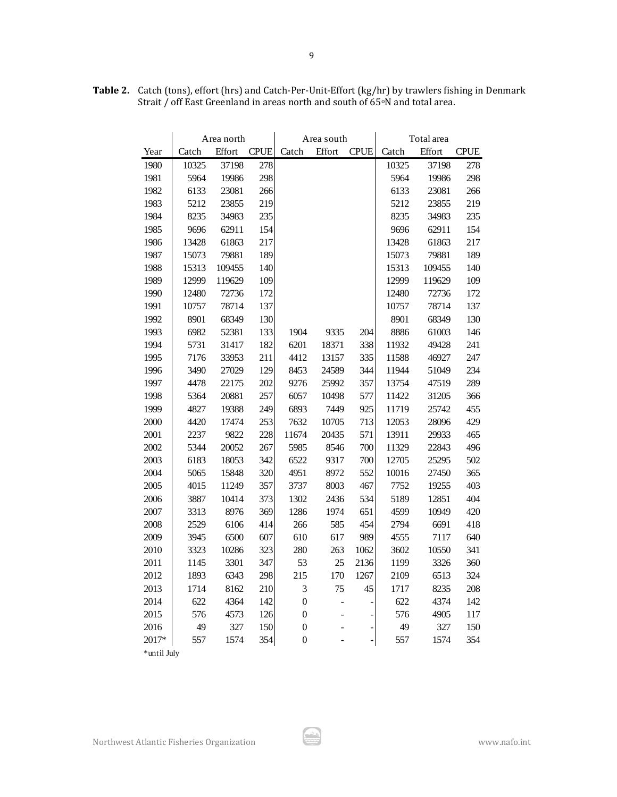|             | Area north |        |             |                  | Area south     |             | Total area |        |             |  |
|-------------|------------|--------|-------------|------------------|----------------|-------------|------------|--------|-------------|--|
| Year        | Catch      | Effort | <b>CPUE</b> | Catch            | Effort         | <b>CPUE</b> | Catch      | Effort | <b>CPUE</b> |  |
| 1980        | 10325      | 37198  | 278         |                  |                |             | 10325      | 37198  | 278         |  |
| 1981        | 5964       | 19986  | 298         |                  |                |             | 5964       | 19986  | 298         |  |
| 1982        | 6133       | 23081  | 266         |                  |                |             | 6133       | 23081  | 266         |  |
| 1983        | 5212       | 23855  | 219         |                  |                |             | 5212       | 23855  | 219         |  |
| 1984        | 8235       | 34983  | 235         |                  |                |             | 8235       | 34983  | 235         |  |
| 1985        | 9696       | 62911  | 154         |                  |                |             | 9696       | 62911  | 154         |  |
| 1986        | 13428      | 61863  | 217         |                  |                |             | 13428      | 61863  | 217         |  |
| 1987        | 15073      | 79881  | 189         |                  |                |             | 15073      | 79881  | 189         |  |
| 1988        | 15313      | 109455 | 140         |                  |                |             | 15313      | 109455 | 140         |  |
| 1989        | 12999      | 119629 | 109         |                  |                |             | 12999      | 119629 | 109         |  |
| 1990        | 12480      | 72736  | 172         |                  |                |             | 12480      | 72736  | 172         |  |
| 1991        | 10757      | 78714  | 137         |                  |                |             | 10757      | 78714  | 137         |  |
| 1992        | 8901       | 68349  | 130         |                  |                |             | 8901       | 68349  | 130         |  |
| 1993        | 6982       | 52381  | 133         | 1904             | 9335           | 204         | 8886       | 61003  | 146         |  |
| 1994        | 5731       | 31417  | 182         | 6201             | 18371          | 338         | 11932      | 49428  | 241         |  |
| 1995        | 7176       | 33953  | 211         | 4412             | 13157          | 335         | 11588      | 46927  | 247         |  |
| 1996        | 3490       | 27029  | 129         | 8453             | 24589          | 344         | 11944      | 51049  | 234         |  |
| 1997        | 4478       | 22175  | 202         | 9276             | 25992          | 357         | 13754      | 47519  | 289         |  |
| 1998        | 5364       | 20881  | 257         | 6057             | 10498          | 577         | 11422      | 31205  | 366         |  |
| 1999        | 4827       | 19388  | 249         | 6893             | 7449           | 925         | 11719      | 25742  | 455         |  |
| 2000        | 4420       | 17474  | 253         | 7632             | 10705          | 713         | 12053      | 28096  | 429         |  |
| 2001        | 2237       | 9822   | 228         | 11674            | 20435          | 571         | 13911      | 29933  | 465         |  |
| 2002        | 5344       | 20052  | 267         | 5985             | 8546           | 700         | 11329      | 22843  | 496         |  |
| 2003        | 6183       | 18053  | 342         | 6522             | 9317           | 700         | 12705      | 25295  | 502         |  |
| 2004        | 5065       | 15848  | 320         | 4951             | 8972           | 552         | 10016      | 27450  | 365         |  |
| 2005        | 4015       | 11249  | 357         | 3737             | 8003           | 467         | 7752       | 19255  | 403         |  |
| 2006        | 3887       | 10414  | 373         | 1302             | 2436           | 534         | 5189       | 12851  | 404         |  |
| 2007        | 3313       | 8976   | 369         | 1286             | 1974           | 651         | 4599       | 10949  | 420         |  |
| 2008        | 2529       | 6106   | 414         | 266              | 585            | 454         | 2794       | 6691   | 418         |  |
| 2009        | 3945       | 6500   | 607         | 610              | 617            | 989         | 4555       | 7117   | 640         |  |
| 2010        | 3323       | 10286  | 323         | 280              | 263            | 1062        | 3602       | 10550  | 341         |  |
| 2011        | 1145       | 3301   | 347         | 53               | 25             | 2136        | 1199       | 3326   | 360         |  |
| 2012        | 1893       | 6343   | 298         | 215              | 170            | 1267        | 2109       | 6513   | 324         |  |
| 2013        | 1714       | 8162   | 210         | $\mathfrak 3$    | 75             | 45          | 1717       | 8235   | 208         |  |
| 2014        | 622        | 4364   | 142         | $\boldsymbol{0}$ | $\overline{a}$ |             | 622        | 4374   | 142         |  |
| 2015        | 576        | 4573   | 126         | $\boldsymbol{0}$ |                |             | 576        | 4905   | 117         |  |
| 2016        | 49         | 327    | 150         | $\boldsymbol{0}$ |                |             | 49         | 327    | 150         |  |
| 2017*       | 557        | 1574   | 354         | $\overline{0}$   |                | -           | 557        | 1574   | 354         |  |
| *until July |            |        |             |                  |                |             |            |        |             |  |

**Table 2.** Catch (tons), effort (hrs) and Catch-Per-Unit-Effort (kg/hr) by trawlers fishing in Denmark Strait / off East Greenland in areas north and south of 65°N and total area.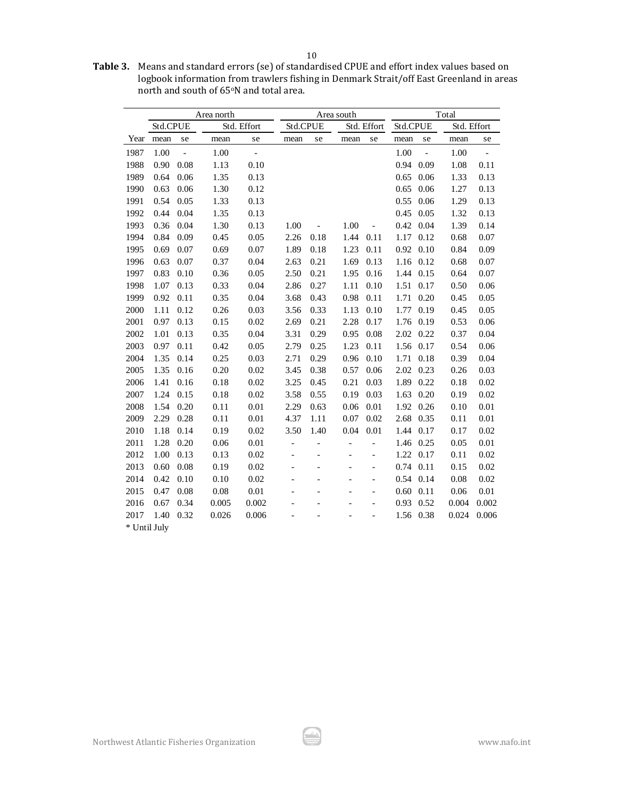**Table 3.** Means and standard errors (se) of standardised CPUE and effort index values based on logbook information from trawlers fishing in Denmark Strait/off East Greenland in areas north and south of 65°N and total area.

|              | Area north |                          |       |               |                          | Area south |      | Total                    |          |               |             |                          |
|--------------|------------|--------------------------|-------|---------------|--------------------------|------------|------|--------------------------|----------|---------------|-------------|--------------------------|
|              | Std.CPUE   |                          |       | Std. Effort   | Std.CPUE                 |            |      | Std. Effort              | Std.CPUE |               | Std. Effort |                          |
| Year         | mean       | se                       | mean  | se            | mean                     | se         | mean | se                       | mean     | se            | mean        | se                       |
| 1987         | 1.00       | $\overline{\phantom{a}}$ | 1.00  | $\frac{1}{2}$ |                          |            |      |                          | 1.00     | $\frac{1}{2}$ | 1.00        | $\overline{\phantom{a}}$ |
| 1988         | 0.90       | 0.08                     | 1.13  | 0.10          |                          |            |      |                          | 0.94     | 0.09          | 1.08        | 0.11                     |
| 1989         | 0.64       | 0.06                     | 1.35  | 0.13          |                          |            |      |                          | 0.65     | 0.06          | 1.33        | 0.13                     |
| 1990         | 0.63       | 0.06                     | 1.30  | 0.12          |                          |            |      |                          | 0.65     | 0.06          | 1.27        | 0.13                     |
| 1991         | 0.54       | 0.05                     | 1.33  | 0.13          |                          |            |      |                          | 0.55     | 0.06          | 1.29        | 0.13                     |
| 1992         | 0.44       | 0.04                     | 1.35  | 0.13          |                          |            |      |                          | 0.45     | 0.05          | 1.32        | 0.13                     |
| 1993         | 0.36       | 0.04                     | 1.30  | 0.13          | 1.00                     |            | 1.00 |                          | 0.42     | 0.04          | 1.39        | 0.14                     |
| 1994         | 0.84       | 0.09                     | 0.45  | 0.05          | 2.26                     | 0.18       | 1.44 | 0.11                     | 1.17     | 0.12          | 0.68        | 0.07                     |
| 1995         | 0.69       | 0.07                     | 0.69  | 0.07          | 1.89                     | 0.18       | 1.23 | 0.11                     | 0.92     | 0.10          | 0.84        | 0.09                     |
| 1996         | 0.63       | 0.07                     | 0.37  | 0.04          | 2.63                     | 0.21       | 1.69 | 0.13                     | 1.16     | 0.12          | 0.68        | 0.07                     |
| 1997         | 0.83       | 0.10                     | 0.36  | 0.05          | 2.50                     | 0.21       | 1.95 | 0.16                     | 1.44     | 0.15          | 0.64        | 0.07                     |
| 1998         | 1.07       | 0.13                     | 0.33  | 0.04          | 2.86                     | 0.27       | 1.11 | 0.10                     | 1.51     | 0.17          | 0.50        | 0.06                     |
| 1999         | 0.92       | 0.11                     | 0.35  | 0.04          | 3.68                     | 0.43       | 0.98 | 0.11                     | 1.71     | 0.20          | 0.45        | 0.05                     |
| 2000         | 1.11       | 0.12                     | 0.26  | 0.03          | 3.56                     | 0.33       | 1.13 | 0.10                     | 1.77     | 0.19          | 0.45        | 0.05                     |
| 2001         | 0.97       | 0.13                     | 0.15  | 0.02          | 2.69                     | 0.21       | 2.28 | 0.17                     | 1.76     | 0.19          | 0.53        | 0.06                     |
| 2002         | 1.01       | 0.13                     | 0.35  | 0.04          | 3.31                     | 0.29       | 0.95 | 0.08                     | 2.02     | 0.22          | 0.37        | 0.04                     |
| 2003         | 0.97       | 0.11                     | 0.42  | 0.05          | 2.79                     | 0.25       | 1.23 | 0.11                     | 1.56     | 0.17          | 0.54        | 0.06                     |
| 2004         | 1.35       | 0.14                     | 0.25  | 0.03          | 2.71                     | 0.29       | 0.96 | 0.10                     | 1.71     | 0.18          | 0.39        | 0.04                     |
| 2005         | 1.35       | 0.16                     | 0.20  | 0.02          | 3.45                     | 0.38       | 0.57 | 0.06                     | 2.02     | 0.23          | 0.26        | 0.03                     |
| 2006         | 1.41       | 0.16                     | 0.18  | 0.02          | 3.25                     | 0.45       | 0.21 | 0.03                     | 1.89     | 0.22          | 0.18        | 0.02                     |
| 2007         | 1.24       | 0.15                     | 0.18  | 0.02          | 3.58                     | 0.55       | 0.19 | 0.03                     | 1.63     | 0.20          | 0.19        | 0.02                     |
| 2008         | 1.54       | 0.20                     | 0.11  | 0.01          | 2.29                     | 0.63       | 0.06 | 0.01                     | 1.92     | 0.26          | 0.10        | 0.01                     |
| 2009         | 2.29       | 0.28                     | 0.11  | 0.01          | 4.37                     | 1.11       | 0.07 | 0.02                     | 2.68     | 0.35          | 0.11        | 0.01                     |
| 2010         | 1.18       | 0.14                     | 0.19  | 0.02          | 3.50                     | 1.40       | 0.04 | 0.01                     | 1.44     | 0.17          | 0.17        | 0.02                     |
| 2011         | 1.28       | 0.20                     | 0.06  | 0.01          | $\overline{\phantom{0}}$ |            |      |                          | 1.46     | 0.25          | 0.05        | 0.01                     |
| 2012         | 1.00       | 0.13                     | 0.13  | 0.02          |                          |            |      | $\overline{a}$           | 1.22     | 0.17          | 0.11        | 0.02                     |
| 2013         | 0.60       | 0.08                     | 0.19  | 0.02          |                          |            |      | $\overline{\phantom{0}}$ | 0.74     | 0.11          | 0.15        | 0.02                     |
| 2014         | 0.42       | 0.10                     | 0.10  | 0.02          |                          |            |      | $\overline{a}$           | 0.54     | 0.14          | 0.08        | 0.02                     |
| 2015         | 0.47       | 0.08                     | 0.08  | $0.01\,$      |                          |            |      | $\overline{a}$           | 0.60     | 0.11          | 0.06        | 0.01                     |
| 2016         | 0.67       | 0.34                     | 0.005 | 0.002         |                          |            |      | $\overline{a}$           | 0.93     | 0.52          | 0.004       | 0.002                    |
| 2017         | 1.40       | 0.32                     | 0.026 | 0.006         |                          |            |      |                          | 1.56     | 0.38          | 0.024       | 0.006                    |
| * Until July |            |                          |       |               |                          |            |      |                          |          |               |             |                          |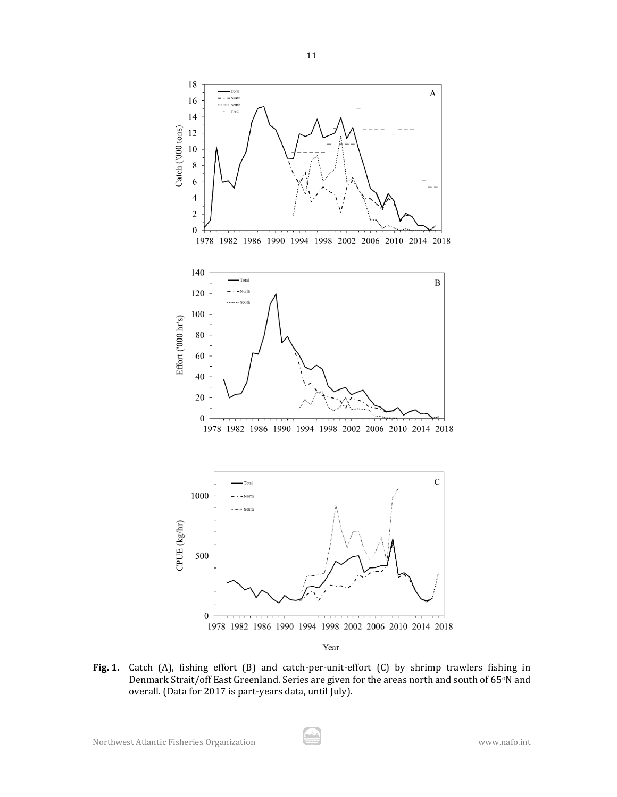

**Fig. 1.** Catch (A), fishing effort (B) and catch-per-unit-effort (C) by shrimp trawlers fishing in Denmark Strait/off East Greenland. Series are given for the areas north and south of 65°N and overall. (Data for 2017 is part-years data, until July).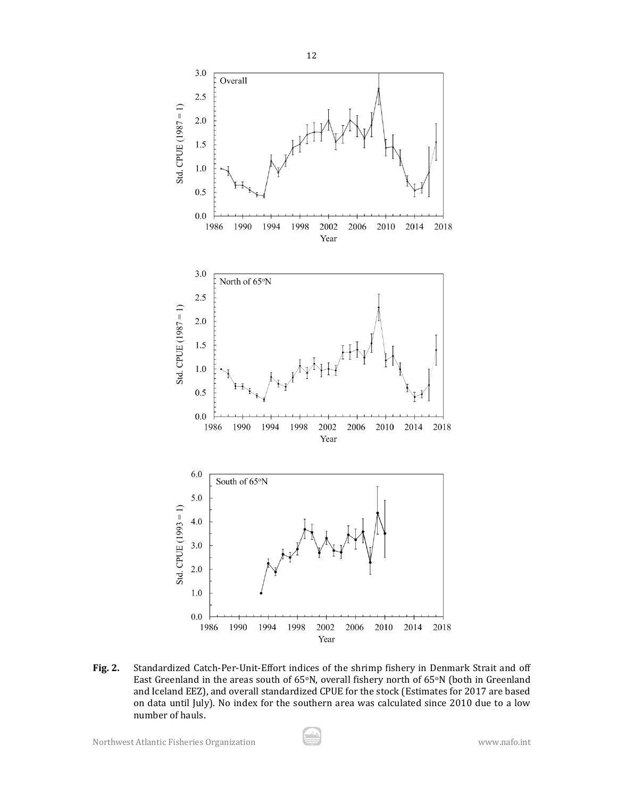

**Fig. 2.** Standardized Catch-Per-Unit-Effort indices of the shrimp fishery in Denmark Strait and off East Greenland in the areas south of  $65^{\circ}N$ , overall fishery north of  $65^{\circ}N$  (both in Greenland and Iceland EEZ), and overall standardized CPUE for the stock (Estimates for 2017 are based on data until July). No index for the southern area was calculated since 2010 due to a low number of hauls.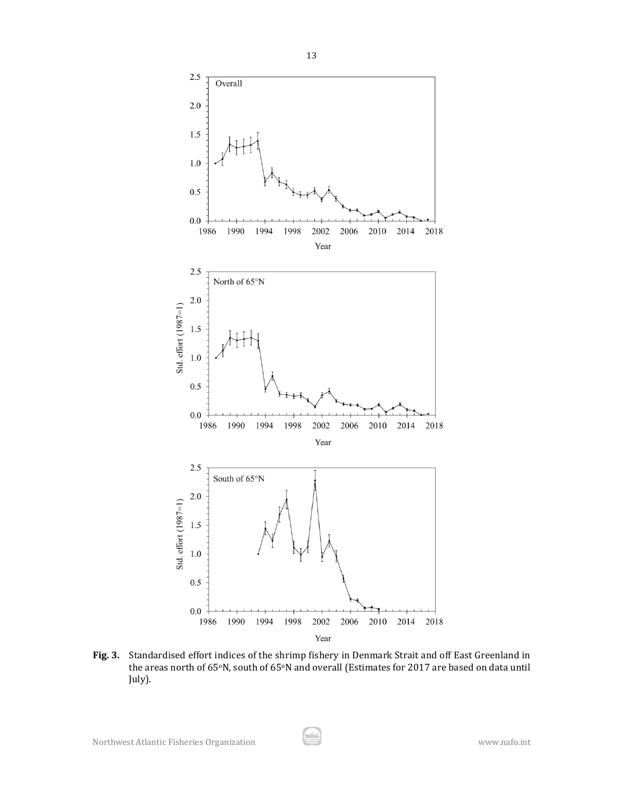

**Fig. 3.** Standardised effort indices of the shrimp fishery in Denmark Strait and off East Greenland in the areas north of 65°N, south of 65°N and overall (Estimates for 2017 are based on data until July).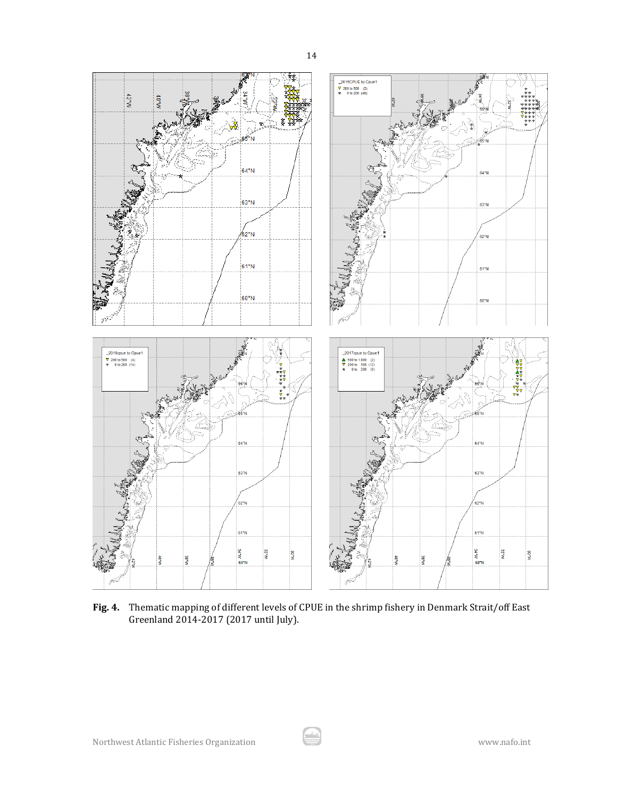

**Fig. 4.** Thematic mapping of different levels of CPUE in the shrimp fishery in Denmark Strait/off East Greenland 2014-2017 (2017 until July).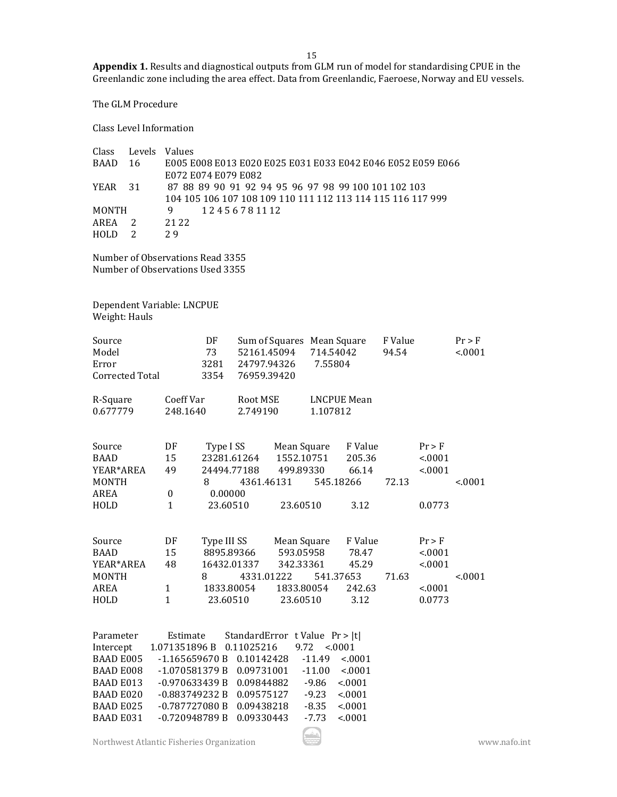**Appendix 1.** Results and diagnostical outputs from GLM run of model for standardising CPUE in the Greenlandic zone including the area effect. Data from Greenlandic, Faeroese, Norway and EU vessels.

The GLM Procedure

Class Level Information

| Class        | Levels Values  |                                                             |
|--------------|----------------|-------------------------------------------------------------|
| BAAD 16      |                | E005 E008 E013 E020 E025 E031 E033 E042 E046 E052 E059 E066 |
|              |                | E072 E074 E079 E082                                         |
| YEAR 31      |                | 87 88 89 90 91 92 94 95 96 97 98 99 100 101 102 103         |
|              |                | 104 105 106 107 108 109 110 111 112 113 114 115 116 117 999 |
| <b>MONTH</b> |                | 12456781112<br>9                                            |
| AREA         |                | 21 22                                                       |
| <b>HOLD</b>  | $\overline{2}$ | 29                                                          |
|              |                |                                                             |

Number of Observations Read 3355 Number of Observations Used 3355

Dependent Variable: LNCPUE Weight: Hauls

| Source<br>Model<br>Error<br><b>Corrected Total</b> |                  | DF<br>73<br>3281<br>3354    | 52161.45094<br>24797.94326<br>76959.39420 | Sum of Squares Mean Square   | 714.54042<br>7.55804 |                    | F Value<br>94.54 |          | $Pr$ > F<br>< .0001 |
|----------------------------------------------------|------------------|-----------------------------|-------------------------------------------|------------------------------|----------------------|--------------------|------------------|----------|---------------------|
| R-Square                                           | Coeff Var        |                             | Root MSE                                  |                              |                      | <b>LNCPUE Mean</b> |                  |          |                     |
| 0.677779                                           | 248.1640         |                             | 2.749190                                  |                              | 1.107812             |                    |                  |          |                     |
| Source                                             | DF               | Type I SS                   |                                           | Mean Square                  |                      | F Value            |                  | $Pr$ > F |                     |
| <b>BAAD</b>                                        | 15               | 23281.61264                 |                                           | 1552.10751                   |                      | 205.36             |                  | < .0001  |                     |
| YEAR*AREA                                          | 49               | 24494.77188                 |                                           | 499.89330                    |                      | 66.14              |                  | < 0.001  |                     |
| <b>MONTH</b>                                       |                  | 8                           |                                           | 4361.46131                   |                      | 545.18266          | 72.13            |          | < .0001             |
| <b>AREA</b>                                        | $\boldsymbol{0}$ | 0.00000                     |                                           |                              |                      |                    |                  |          |                     |
| HOLD                                               | $\mathbf{1}$     | 23.60510                    |                                           | 23.60510                     |                      | 3.12               |                  | 0.0773   |                     |
|                                                    |                  |                             |                                           |                              |                      |                    |                  |          |                     |
| Source                                             | DF               | Type III SS                 |                                           | Mean Square                  |                      | F Value            |                  | $Pr$ > F |                     |
| <b>BAAD</b>                                        | 15               | 8895.89366                  |                                           | 593.05958                    |                      | 78.47              |                  | < .0001  |                     |
| YEAR*AREA                                          | 48               | 16432.01337                 |                                           | 342.33361                    |                      | 45.29              |                  | < .0001  |                     |
| <b>MONTH</b>                                       |                  | 8                           | 4331.01222                                |                              |                      | 541.37653          | 71.63            |          | < .0001             |
| <b>AREA</b>                                        | $\mathbf{1}$     | 1833.80054                  |                                           | 1833.80054                   |                      | 242.63             |                  | < .0001  |                     |
| HOLD                                               | $\mathbf{1}$     | 23.60510                    |                                           | 23.60510                     |                      | 3.12               |                  | 0.0773   |                     |
|                                                    |                  |                             |                                           |                              |                      |                    |                  |          |                     |
| Parameter                                          | Estimate         |                             |                                           | StandardError tValue Pr >  t |                      |                    |                  |          |                     |
| Intercept                                          | 1.071351896 B    |                             | 0.11025216                                | 9.72                         |                      | < 0001             |                  |          |                     |
| <b>BAAD E005</b>                                   |                  | $-1.165659670B$             | 0.10142428                                |                              | $-11.49$             | < .0001            |                  |          |                     |
| <b>BAAD E008</b>                                   |                  | -1.070581379 B              | 0.09731001                                |                              | $-11.00$             | < .0001            |                  |          |                     |
| <b>BAAD E013</b>                                   |                  | $-0.970633439B$             | 0.09844882                                |                              | $-9.86$              | < .0001            |                  |          |                     |
| <b>BAAD E020</b>                                   |                  | $-0.883749232 B$ 0.09575127 |                                           |                              | $-9.23$              | < .0001            |                  |          |                     |
| <b>BAAD E025</b>                                   |                  | -0.787727080 B 0.09438218   |                                           |                              | $-8.35$              | < .0001            |                  |          |                     |
| <b>BAAD E031</b>                                   |                  | $-0.720948789B$             | 0.09330443                                |                              | $-7.73$              | < .0001            |                  |          |                     |
|                                                    |                  |                             |                                           |                              |                      |                    |                  |          |                     |

Northwest Atlantic Fisheries Organization www.nafo.int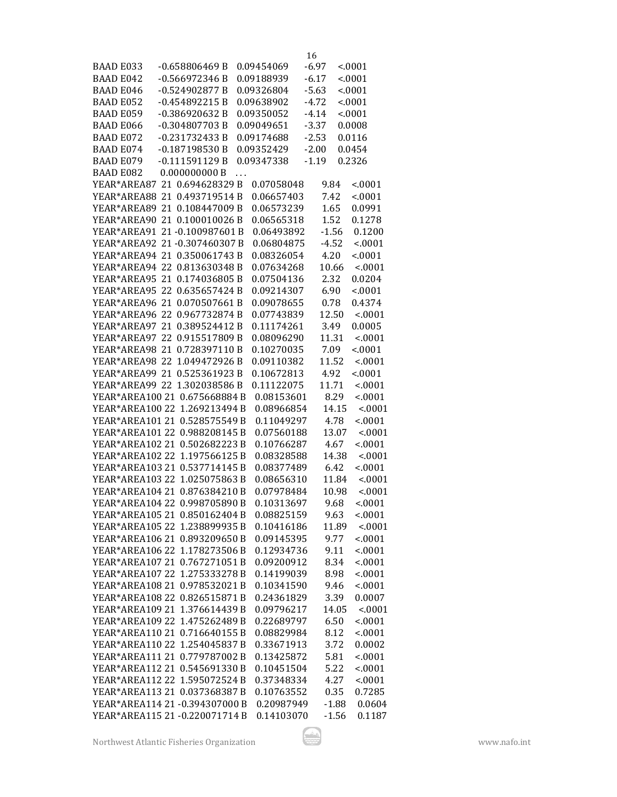| <b>BAAD E033</b>               | $-0.658806469B$ | 0.09454069 | $-6.97$ |              | < 0001           |
|--------------------------------|-----------------|------------|---------|--------------|------------------|
| <b>BAAD E042</b>               | $-0.566972346B$ | 0.09188939 | $-6.17$ |              | < 0001           |
| <b>BAAD E046</b>               | $-0.524902877B$ | 0.09326804 | $-5.63$ |              | < .0001          |
| <b>BAAD E052</b>               | $-0.454892215B$ | 0.09638902 | $-4.72$ |              | < 0001           |
| <b>BAAD E059</b>               | $-0.386920632B$ | 0.09350052 | $-4.14$ |              | < .0001          |
| <b>BAAD E066</b>               | $-0.304807703B$ | 0.09049651 | $-3.37$ |              | 0.0008           |
| <b>BAAD E072</b>               | -0.231732433B   | 0.09174688 | $-2.53$ |              | 0.0116           |
| <b>BAAD E074</b>               | $-0.187198530B$ | 0.09352429 | $-2.00$ |              | 0.0454           |
| <b>BAAD E079</b>               | $-0.111591129B$ | 0.09347338 | $-1.19$ |              | 0.2326           |
| <b>BAAD E082</b>               | 0.000000000B    |            |         |              |                  |
| YEAR*AREA87 21 0.694628329 B   |                 | 0.07058048 |         | 9.84         | < 0001           |
| YEAR*AREA88 21 0.493719514 B   |                 | 0.06657403 |         | 7.42         | < 0001           |
| YEAR*AREA89 21 0.108447009 B   |                 | 0.06573239 |         |              |                  |
| YEAR*AREA90 21 0.100010026 B   |                 | 0.06565318 |         | 1.65<br>1.52 | 0.0991<br>0.1278 |
|                                |                 |            |         |              |                  |
| YEAR*AREA91 21-0.100987601 B   |                 | 0.06493892 |         | $-1.56$      | 0.1200           |
| YEAR*AREA92 21-0.307460307 B   |                 | 0.06804875 |         | $-4.52$      | < 0001           |
| YEAR*AREA94 21 0.350061743 B   |                 | 0.08326054 |         | 4.20         | < .0001          |
| YEAR*AREA94 22 0.813630348 B   |                 | 0.07634268 |         | 10.66        | < 0001           |
| YEAR*AREA95 21 0.174036805 B   |                 | 0.07504136 |         | 2.32         | 0.0204           |
| YEAR*AREA95 22 0.635657424 B   |                 | 0.09214307 |         | 6.90         | < 0001           |
| YEAR*AREA96 21 0.070507661 B   |                 | 0.09078655 |         | 0.78         | 0.4374           |
| YEAR*AREA96 22 0.967732874 B   |                 | 0.07743839 |         | 12.50        | < 0001           |
| YEAR*AREA97 21 0.389524412 B   |                 | 0.11174261 |         | 3.49         | 0.0005           |
| YEAR*AREA97 22 0.915517809 B   |                 | 0.08096290 |         | 11.31        | < .0001          |
| YEAR*AREA98 21 0.728397110 B   |                 | 0.10270035 |         | 7.09         | < 0001           |
| YEAR*AREA98 22 1.049472926 B   |                 | 0.09110382 |         | 11.52        | < 0001           |
| YEAR*AREA99 21 0.525361923 B   |                 | 0.10672813 |         | 4.92         | < .0001          |
| YEAR*AREA99 22 1.302038586 B   |                 | 0.11122075 |         | 11.71        | < .0001          |
| YEAR*AREA100 21 0.675668884 B  |                 | 0.08153601 |         | 8.29         | < 0001           |
| YEAR*AREA100 22                | 1.269213494 B   | 0.08966854 |         | 14.15        | < 0001           |
| YEAR*AREA101 21 0.528575549 B  |                 | 0.11049297 |         | 4.78         | < .0001          |
| YEAR*AREA101 22 0.988208145 B  |                 | 0.07560188 |         | 13.07        | < 0001           |
| YEAR*AREA102 21 0.502682223 B  |                 | 0.10766287 |         | 4.67         | < 0001           |
| YEAR*AREA102 22 1.197566125 B  |                 | 0.08328588 |         | 14.38        | < .0001          |
| YEAR*AREA103 21 0.537714145 B  |                 | 0.08377489 |         | 6.42         | < .0001          |
| YEAR*AREA103 22 1.025075863 B  |                 | 0.08656310 |         | 11.84        | < 0001           |
| YEAR*AREA104 21 0.876384210 B  |                 | 0.07978484 |         | 10.98        | < 0001           |
| YEAR*AREA104 22 0.998705890 B  |                 | 0.10313697 |         | 9.68         | < .0001          |
|                                |                 | 0.08825159 |         | 9.63         | < 0001           |
| YEAR*AREA105 22 1.238899935 B  |                 | 0.10416186 |         | 11.89        | < 0001           |
| YEAR*AREA106 21 0.893209650 B  |                 | 0.09145395 |         | 9.77         | < .0001          |
| YEAR*AREA106 22 1.178273506 B  |                 | 0.12934736 |         | 9.11         | < .0001          |
| YEAR*AREA107 21 0.767271051 B  |                 | 0.09200912 |         | 8.34         | < .0001          |
| YEAR*AREA107 22 1.275333278 B  |                 | 0.14199039 |         | 8.98         | < 0001           |
| YEAR*AREA108 21 0.978532021 B  |                 | 0.10341590 |         | 9.46         | < .0001          |
| YEAR*AREA108 22 0.826515871 B  |                 | 0.24361829 |         | 3.39         | 0.0007           |
| YEAR*AREA109 21 1.376614439 B  |                 | 0.09796217 |         | 14.05        | < 0001           |
| YEAR*AREA109 22 1.475262489 B  |                 | 0.22689797 |         | 6.50         | < 0001           |
| YEAR*AREA110 21 0.716640155 B  |                 | 0.08829984 |         | 8.12         | < .0001          |
| YEAR*AREA110 22 1.254045837 B  |                 | 0.33671913 |         | 3.72         | 0.0002           |
| YEAR*AREA111 21 0.779787002 B  |                 | 0.13425872 |         | 5.81         | < .0001          |
| YEAR*AREA112 21 0.545691330 B  |                 | 0.10451504 |         | 5.22         | < 0001           |
| YEAR*AREA112 22 1.595072524 B  |                 | 0.37348334 |         | 4.27         | < .0001          |
| YEAR*AREA113 21 0.037368387 B  |                 | 0.10763552 |         | 0.35         | 0.7285           |
| YEAR*AREA114 21 -0.394307000 B |                 | 0.20987949 |         | $-1.88$      | 0.0604           |
| YEAR*AREA115 21 -0.220071714 B |                 | 0.14103070 |         | $-1.56$      | 0.1187           |
|                                |                 |            |         |              |                  |

Northwest Atlantic Fisheries Organization www.nafo.int

16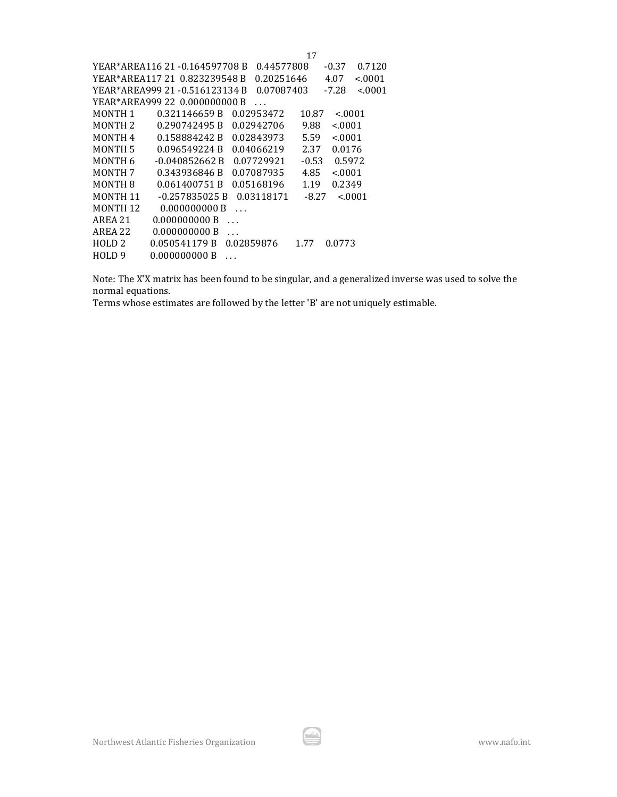|                     |                               | 0.44577808 |         | 0.7120<br>$-0.37$  |
|---------------------|-------------------------------|------------|---------|--------------------|
|                     |                               | 0.20251646 |         | < 0001<br>4.07     |
|                     |                               | 0.07087403 |         | < 0.001<br>$-7.28$ |
|                     | YEAR*AREA999 22 0.000000000 B |            |         |                    |
| MONTH <sub>1</sub>  | 0.321146659 B                 | 0.02953472 | 10.87   | < 0.001            |
| MONTH <sub>2</sub>  | 0.290742495 B                 | 0.02942706 | 9.88    | < 0.001            |
| MONTH <sub>4</sub>  | 0.158884242B                  | 0.02843973 | 5.59    | < 0.001            |
| <b>MONTH5</b>       | 0.096549224 B                 | 0.04066219 | 2.37    | 0.0176             |
| MONTH 6             | -0.040852662 B                | 0.07729921 | $-0.53$ | 0.5972             |
| <b>MONTH 7</b>      | 0.343936846 B                 | 0.07087935 | 4.85    | < 0.001            |
| MONTH 8             | 0.061400751B                  | 0.05168196 | 1.19    | 0.2349             |
| MONTH 11            | -0.257835025 B                | 0.03118171 | $-8.27$ | < 0.001            |
| MONTH <sub>12</sub> | 0.000000000 B<br>.            |            |         |                    |
| AREA 21             | 0.000000000 B                 |            |         |                    |
| AREA 22             | 0.000000000 B                 |            |         |                    |
| HOLD <sub>2</sub>   | 0.050541179 B                 | 0.02859876 | 1.77    | 0.0773             |
| HOLD 9              | 0.000000000 B                 |            |         |                    |

Note: The X'X matrix has been found to be singular, and a generalized inverse was used to solve the normal equations.

Terms whose estimates are followed by the letter 'B' are not uniquely estimable.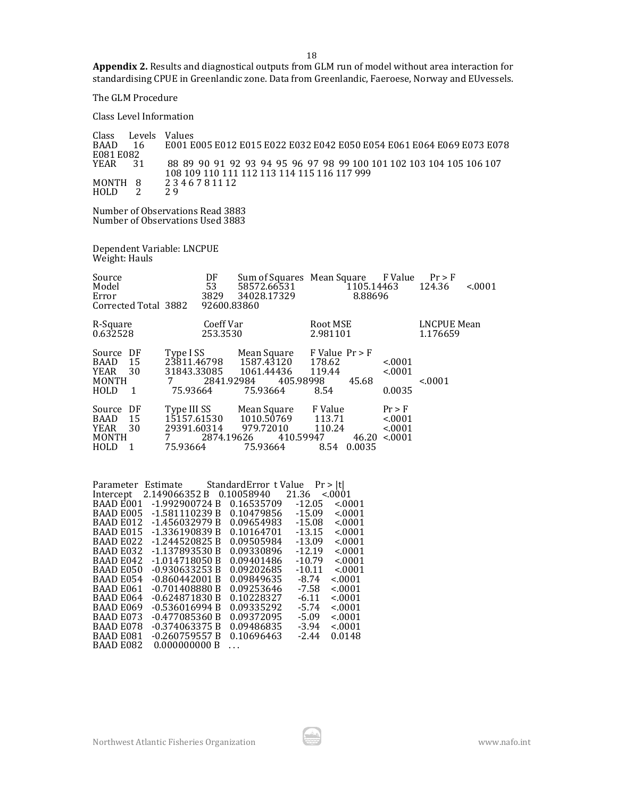**Appendix 2.** Results and diagnostical outputs from GLM run of model without area interaction for standardising CPUE in Greenlandic zone. Data from Greenlandic, Faeroese, Norway and EUvessels.

The GLM Procedure

Class Level Information

| Class<br><b>BAAD</b> | Levels<br>16 | Values<br>E001 E005 E012 E015 E022 E032 E042 E050 E054 E061 E064 E069 E073 E078 |
|----------------------|--------------|---------------------------------------------------------------------------------|
| E081 E082            |              |                                                                                 |
| YEAR                 | 31           | 88 89 90 91 92 93 94 95 96 97 98 99 100 101 102 103 104 105 106 107             |
|                      |              | 108 109 110 111 112 113 114 115 116 117 999                                     |
| MONTH 8              |              | 2346781112                                                                      |
| <b>HOLD</b>          |              | 29                                                                              |

Number of Observations Read 3883 Number of Observations Used 3883

Dependent Variable: LNCPUE Weight: Hauls

| Source<br>Model<br>Error<br>Corrected Total 3882                                          | DF<br>53<br>3829<br>92600.83860                                                                 | 58572.66531<br>34028.17329           | Sum of Squares Mean Square F Value<br>1105.14463<br>8.88696 |                                           | Pr > F<br>124.36<br>< 0001 |
|-------------------------------------------------------------------------------------------|-------------------------------------------------------------------------------------------------|--------------------------------------|-------------------------------------------------------------|-------------------------------------------|----------------------------|
| R-Square<br>0.632528                                                                      | Coeff Var<br>253.3530                                                                           |                                      | Root MSE<br>2.981101                                        |                                           | LNCPUE Mean<br>1.176659    |
| DF<br>Source<br><b>BAAD</b><br>- 15<br>30<br><b>YEAR</b><br><b>MONTH</b><br>HOLD<br>-1    | Type I SS<br>23811.46798 1587.43120<br>31843.33085 1061.44436<br>2841.92984<br>7<br>75.93664    | Mean Square<br>405.98998<br>75.93664 | $F$ Value $Pr$ > $F$<br>178.62<br>119.44<br>45.68<br>8.54   | < 0.001<br>< 0.001<br>0.0035              | < 0.001                    |
| DF<br>Source<br>- 15<br>BAAD<br><b>YEAR</b><br>30<br><b>MONTH</b><br>HOLD<br>$\mathbf{1}$ | Type III SS Mean Square<br>15157.61530 1010.50769<br>29391.60314<br>2874.19626<br>7<br>75.93664 | 979.72010<br>410.59947<br>75.93664   | F Value<br>113.71<br>110.24<br>46.20<br>8.54<br>0.0035      | $Pr$ > F<br>< 0.001<br>< 0.001<br>< 0.001 |                            |

| Parameter        | Estimate StandardError t Value Pr >  t |            |          |         |
|------------------|----------------------------------------|------------|----------|---------|
| Intercept        | 2.149066352 B 0.10058940               |            | 21.36    | < 0001  |
| BAAD E001        | -1.992900724 B                         | 0.16535709 | $-12.05$ | < 0.001 |
| BAAD E005        | $-1.581110239B$                        | 0.10479856 | $-15.09$ | < 0001  |
| <b>BAAD E012</b> | $-1.456032979B$                        | 0.09654983 | $-15.08$ | < 0001  |
| <b>BAAD E015</b> | -1.336190839 B                         | 0.10164701 | $-13.15$ | < 0001  |
| BAAD E022        | -1.244520825 B                         | 0.09505984 | $-13.09$ | < 0001  |
| BAAD E032        | -1.137893530 B                         | 0.09330896 | $-12.19$ | < 0001  |
| BAAD E042        | -1.014718050 B                         | 0.09401486 | $-10.79$ | < 0001  |
| BAAD E050        | $-0.930633253B$                        | 0.09202685 | $-10.11$ | < 0001  |
| BAAD E054        | -0.860442001 B                         | 0.09849635 | -8.74    | < 0001  |
| BAAD E061        | -0.701408880 B                         | 0.09253646 | -7.58    | < 0001  |
| <b>BAAD E064</b> | $-0.624871830B$                        | 0.10228327 | $-6.11$  | < 0001  |
| <b>BAAD E069</b> | $-0.536016994 B$                       | 0.09335292 | $-5.74$  | < 0.001 |
| BAAD E073        | $-0.477085360B$                        | 0.09372095 | $-5.09$  | < 0.001 |
| BAAD E078        | -0.374063375 B                         | 0.09486835 | $-3.94$  | < 0001  |
| BAAD E081        | -0.260759557 B                         | 0.10696463 | $-2.44$  | 0.0148  |
| BAAD E082        | 0.000000000 B                          |            |          |         |